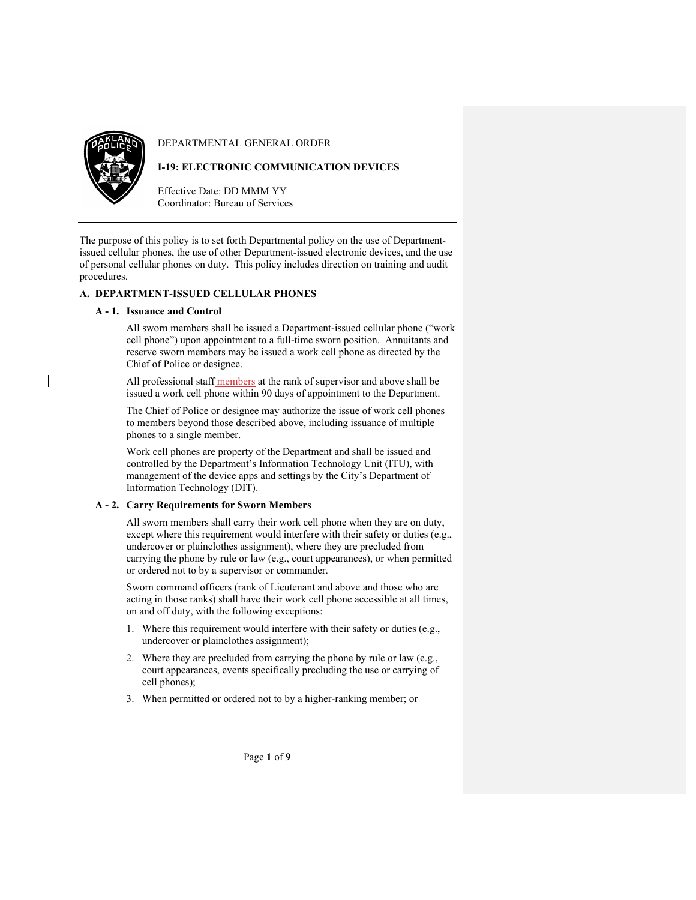

DEPARTMENTAL GENERAL ORDER

# **I-19: ELECTRONIC COMMUNICATION DEVICES**

Effective Date: DD MMM YY Coordinator: Bureau of Services

The purpose of this policy is to set forth Departmental policy on the use of Departmentissued cellular phones, the use of other Department-issued electronic devices, and the use of personal cellular phones on duty. This policy includes direction on training and audit procedures.

### **A. DEPARTMENT-ISSUED CELLULAR PHONES**

### **A - 1. Issuance and Control**

All sworn members shall be issued a Department-issued cellular phone ("work cell phone") upon appointment to a full-time sworn position. Annuitants and reserve sworn members may be issued a work cell phone as directed by the Chief of Police or designee.

All professional staff members at the rank of supervisor and above shall be issued a work cell phone within 90 days of appointment to the Department.

The Chief of Police or designee may authorize the issue of work cell phones to members beyond those described above, including issuance of multiple phones to a single member.

Work cell phones are property of the Department and shall be issued and controlled by the Department's Information Technology Unit (ITU), with management of the device apps and settings by the City's Department of Information Technology (DIT).

### **A - 2. Carry Requirements for Sworn Members**

All sworn members shall carry their work cell phone when they are on duty, except where this requirement would interfere with their safety or duties (e.g., undercover or plainclothes assignment), where they are precluded from carrying the phone by rule or law (e.g., court appearances), or when permitted or ordered not to by a supervisor or commander.

Sworn command officers (rank of Lieutenant and above and those who are acting in those ranks) shall have their work cell phone accessible at all times, on and off duty, with the following exceptions:

- 1. Where this requirement would interfere with their safety or duties (e.g., undercover or plainclothes assignment);
- 2. Where they are precluded from carrying the phone by rule or law (e.g., court appearances, events specifically precluding the use or carrying of cell phones);
- 3. When permitted or ordered not to by a higher-ranking member; or

Page **1** of **9**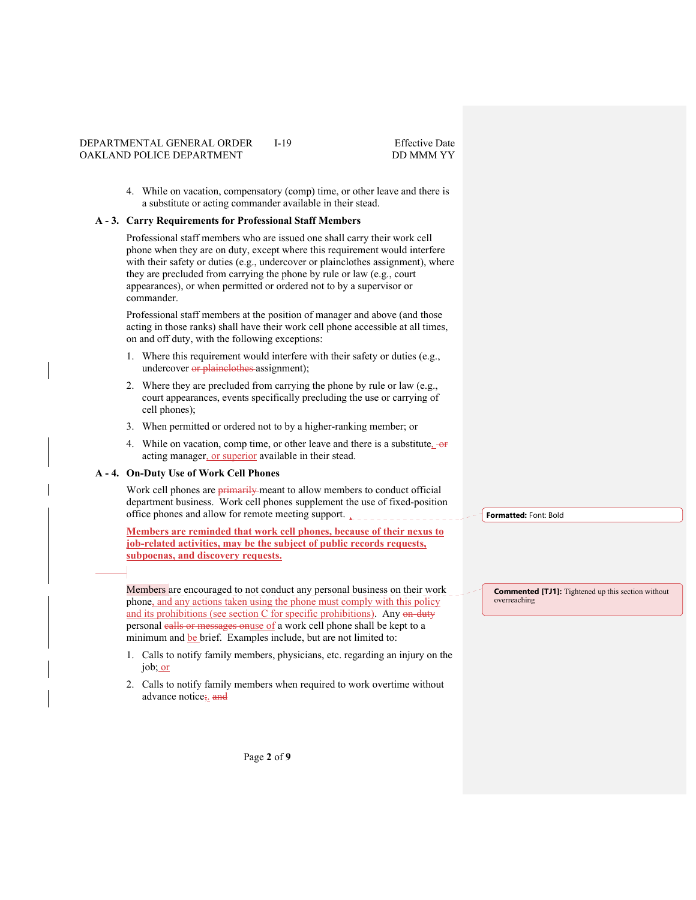4. While on vacation, compensatory (comp) time, or other leave and there is a substitute or acting commander available in their stead.

#### **A - 3. Carry Requirements for Professional Staff Members**

Professional staff members who are issued one shall carry their work cell phone when they are on duty, except where this requirement would interfere with their safety or duties (e.g., undercover or plainclothes assignment), where they are precluded from carrying the phone by rule or law (e.g., court appearances), or when permitted or ordered not to by a supervisor or commander.

Professional staff members at the position of manager and above (and those acting in those ranks) shall have their work cell phone accessible at all times, on and off duty, with the following exceptions:

- 1. Where this requirement would interfere with their safety or duties (e.g., undercover or plainclothes assignment);
- 2. Where they are precluded from carrying the phone by rule or law (e.g., court appearances, events specifically precluding the use or carrying of cell phones);
- 3. When permitted or ordered not to by a higher-ranking member; or
- 4. While on vacation, comp time, or other leave and there is a substitute.  $-$ or acting manager, or superior available in their stead.

### **A - 4. On-Duty Use of Work Cell Phones**

Work cell phones are **primarily** meant to allow members to conduct official department business. Work cell phones supplement the use of fixed-position office phones and allow for remote meeting support.

**Members are reminded that work cell phones, because of their nexus to job-related activities, may be the subject of public records requests, subpoenas, and discovery requests.** 

Members are encouraged to not conduct any personal business on their work phone, and any actions taken using the phone must comply with this policy and its prohibitions (see section C for specific prohibitions). Any on-duty personal calls or messages onuse of a work cell phone shall be kept to a minimum and be brief. Examples include, but are not limited to:

- 1. Calls to notify family members, physicians, etc. regarding an injury on the job; or
- 2. Calls to notify family members when required to work overtime without advance notice; and

**Formatted:** Font: Bold

**Commented [TJ1]:** Tightened up this section without overreaching

Page **2** of **9**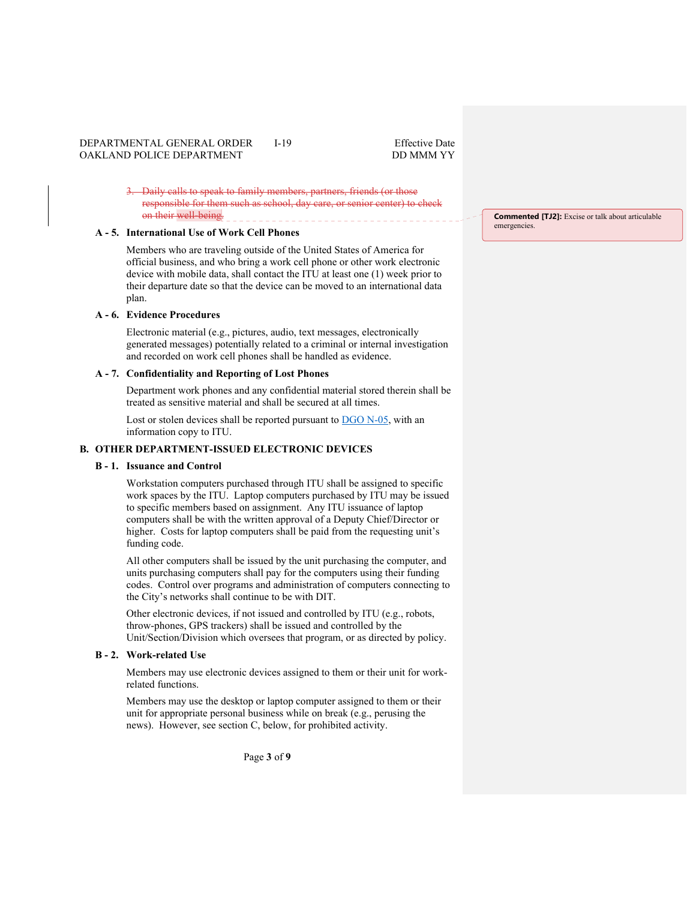Daily calls to speak to family members, partners, friends (or those responsible for them such as school, day care, or senior center) to check on their well-being.

# **A - 5. International Use of Work Cell Phones**

Members who are traveling outside of the United States of America for official business, and who bring a work cell phone or other work electronic device with mobile data, shall contact the ITU at least one (1) week prior to their departure date so that the device can be moved to an international data plan.

#### **A - 6. Evidence Procedures**

Electronic material (e.g., pictures, audio, text messages, electronically generated messages) potentially related to a criminal or internal investigation and recorded on work cell phones shall be handled as evidence.

#### **A - 7. Confidentiality and Reporting of Lost Phones**

Department work phones and any confidential material stored therein shall be treated as sensitive material and shall be secured at all times.

Lost or stolen devices shall be reported pursuant to DGO N-05, with an information copy to ITU.

#### **B. OTHER DEPARTMENT-ISSUED ELECTRONIC DEVICES**

# **B - 1. Issuance and Control**

Workstation computers purchased through ITU shall be assigned to specific work spaces by the ITU. Laptop computers purchased by ITU may be issued to specific members based on assignment. Any ITU issuance of laptop computers shall be with the written approval of a Deputy Chief/Director or higher. Costs for laptop computers shall be paid from the requesting unit's funding code.

All other computers shall be issued by the unit purchasing the computer, and units purchasing computers shall pay for the computers using their funding codes. Control over programs and administration of computers connecting to the City's networks shall continue to be with DIT.

Other electronic devices, if not issued and controlled by ITU (e.g., robots, throw-phones, GPS trackers) shall be issued and controlled by the Unit/Section/Division which oversees that program, or as directed by policy.

#### **B - 2. Work-related Use**

Members may use electronic devices assigned to them or their unit for workrelated functions.

Members may use the desktop or laptop computer assigned to them or their unit for appropriate personal business while on break (e.g., perusing the news). However, see section C, below, for prohibited activity.

**Commented [TJ2]:** Excise or talk about articulable emergencies.

Page **3** of **9**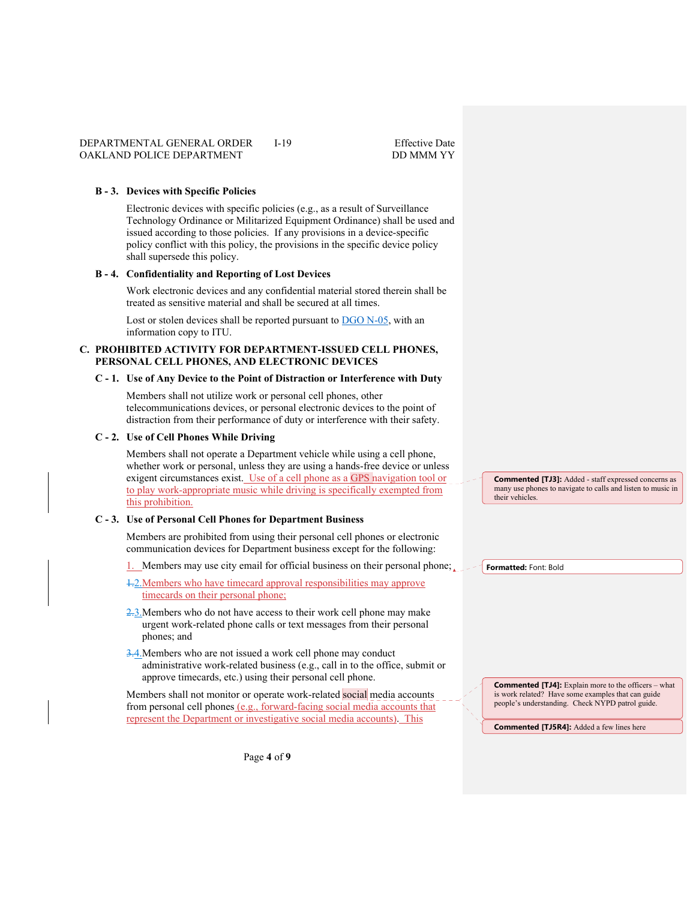#### **B - 3. Devices with Specific Policies**

Electronic devices with specific policies (e.g., as a result of Surveillance Technology Ordinance or Militarized Equipment Ordinance) shall be used and issued according to those policies. If any provisions in a device-specific policy conflict with this policy, the provisions in the specific device policy shall supersede this policy.

#### **B - 4. Confidentiality and Reporting of Lost Devices**

Work electronic devices and any confidential material stored therein shall be treated as sensitive material and shall be secured at all times.

Lost or stolen devices shall be reported pursuant to DGO N-05, with an information copy to ITU.

#### **C. PROHIBITED ACTIVITY FOR DEPARTMENT-ISSUED CELL PHONES, PERSONAL CELL PHONES, AND ELECTRONIC DEVICES**

#### **C - 1. Use of Any Device to the Point of Distraction or Interference with Duty**

Members shall not utilize work or personal cell phones, other telecommunications devices, or personal electronic devices to the point of distraction from their performance of duty or interference with their safety.

#### **C - 2. Use of Cell Phones While Driving**

Members shall not operate a Department vehicle while using a cell phone, whether work or personal, unless they are using a hands-free device or unless exigent circumstances exist. Use of a cell phone as a GPS navigation tool or to play work-appropriate music while driving is specifically exempted from this prohibition.

#### **C - 3. Use of Personal Cell Phones for Department Business**

Members are prohibited from using their personal cell phones or electronic communication devices for Department business except for the following:

1. Members may use city email for official business on their personal phone;

- 1.2.Members who have timecard approval responsibilities may approve timecards on their personal phone;
- 2.3. Members who do not have access to their work cell phone may make urgent work-related phone calls or text messages from their personal phones; and
- 3.4. Members who are not issued a work cell phone may conduct administrative work-related business (e.g., call in to the office, submit or approve timecards, etc.) using their personal cell phone.

Members shall not monitor or operate work-related social media accounts from personal cell phones (e.g., forward-facing social media accounts that represent the Department or investigative social media accounts). This

**Commented [TJ3]:** Added - staff expressed concerns as many use phones to navigate to calls and listen to music in their vehicles.

**Formatted:** Font: Bold

**Commented [TJ4]:** Explain more to the officers – what is work related? Have some examples that can guide people's understanding. Check NYPD patrol guide.

**Commented [TJ5R4]:** Added a few lines here

Page **4** of **9**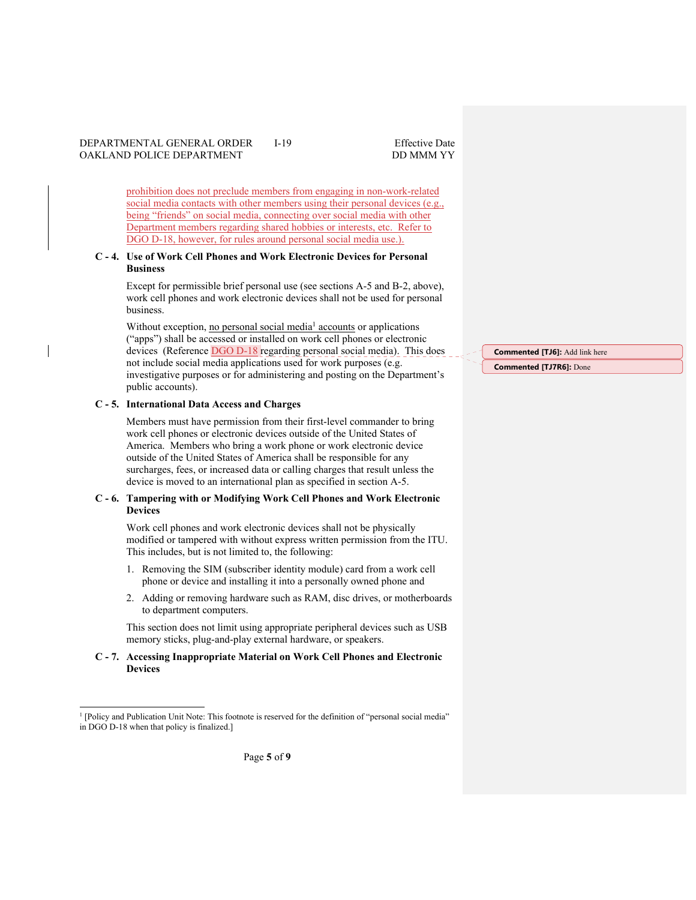prohibition does not preclude members from engaging in non-work-related social media contacts with other members using their personal devices (e.g., being "friends" on social media, connecting over social media with other Department members regarding shared hobbies or interests, etc. Refer to DGO D-18, however, for rules around personal social media use.).

#### **C - 4. Use of Work Cell Phones and Work Electronic Devices for Personal Business**

Except for permissible brief personal use (see sections A-5 and B-2, above), work cell phones and work electronic devices shall not be used for personal business.

Without exception, no personal social media<sup>1</sup> accounts or applications ("apps") shall be accessed or installed on work cell phones or electronic devices (Reference DGO D-18 regarding personal social media). This does not include social media applications used for work purposes (e.g. investigative purposes or for administering and posting on the Department's public accounts).

#### **C - 5. International Data Access and Charges**

Members must have permission from their first-level commander to bring work cell phones or electronic devices outside of the United States of America. Members who bring a work phone or work electronic device outside of the United States of America shall be responsible for any surcharges, fees, or increased data or calling charges that result unless the device is moved to an international plan as specified in section A-5.

#### **C - 6. Tampering with or Modifying Work Cell Phones and Work Electronic Devices**

Work cell phones and work electronic devices shall not be physically modified or tampered with without express written permission from the ITU. This includes, but is not limited to, the following:

- 1. Removing the SIM (subscriber identity module) card from a work cell phone or device and installing it into a personally owned phone and
- 2. Adding or removing hardware such as RAM, disc drives, or motherboards to department computers.

This section does not limit using appropriate peripheral devices such as USB memory sticks, plug-and-play external hardware, or speakers.

### **C - 7. Accessing Inappropriate Material on Work Cell Phones and Electronic Devices**

**Commented [TJ6]:** Add link here **Commented [TJ7R6]:** Done

<sup>&</sup>lt;sup>1</sup> [Policy and Publication Unit Note: This footnote is reserved for the definition of "personal social media" in DGO D-18 when that policy is finalized.]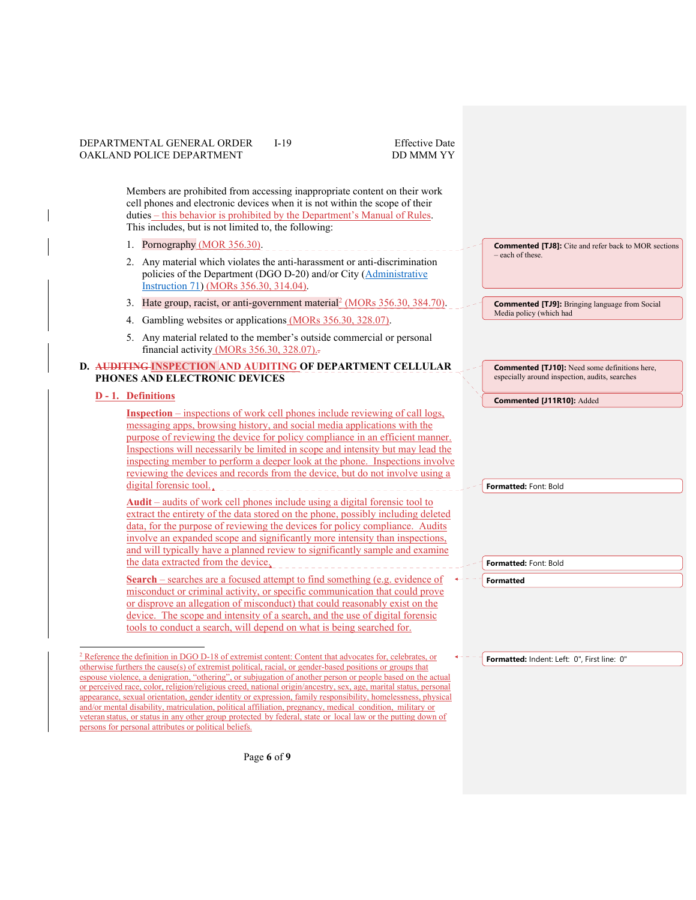Members are prohibited from accessing inappropriate content on their work cell phones and electronic devices when it is not within the scope of their duties – this behavior is prohibited by the Department's Manual of Rules. This includes, but is not limited to, the following:

- 1. Pornography (MOR 356.30).
- 2. Any material which violates the anti-harassment or anti-discrimination policies of the Department (DGO D-20) and/or City (Administrative Instruction 71) (MORs 356.30, 314.04).
- 3. Hate group, racist, or anti-government material  $\left[ \frac{\text{MORs } 356.30, 384.70}{\text{MORs } 356.30, 384.70} \right]$
- 4. Gambling websites or applications (MORs 356.30, 328.07).
- 5. Any material related to the member's outside commercial or personal financial activity (MORs 356.30, 328.07)..

#### **D. AUDITING INSPECTION AND AUDITING OF DEPARTMENT CELLULAR PHONES AND ELECTRONIC DEVICES**

#### **D - 1. Definitions**

**Inspection** – inspections of work cell phones include reviewing of call logs, messaging apps, browsing history, and social media applications with the purpose of reviewing the device for policy compliance in an efficient manner. Inspections will necessarily be limited in scope and intensity but may lead the inspecting member to perform a deeper look at the phone. Inspections involve reviewing the devices and records from the device, but do not involve using a digital forensic tool.

**Audit** – audits of work cell phones include using a digital forensic tool to extract the entirety of the data stored on the phone, possibly including deleted data, for the purpose of reviewing the devices for policy compliance. Audits involve an expanded scope and significantly more intensity than inspections, and will typically have a planned review to significantly sample and examine the data extracted from the device.

**Search** – searches are a focused attempt to find something (e.g. evidence of misconduct or criminal activity, or specific communication that could prove or disprove an allegation of misconduct) that could reasonably exist on the device. The scope and intensity of a search, and the use of digital forensic tools to conduct a search, will depend on what is being searched for.

<sup>2</sup> Reference the definition in DGO D-18 of extremist content: Content that advocates for, celebrates, or otherwise furthers the cause(s) of extremist political, racial, or gender-based positions or groups that espouse violence, a denigration, "othering", or subjugation of another person or people based on the actual or perceived race, color, religion/religious creed, national origin/ancestry, sex, age, marital status, personal appearance, sexual orientation, gender identity or expression, family responsibility, homelessness, physical and/or mental disability, matriculation, political affiliation, pregnancy, medical condition, military or veteran status, or status in any other group protected by federal, state or local law or the putting down of persons for personal attributes or political beliefs.

**Commented [TJ8]:** Cite and refer back to MOR sections – each of these.

**Commented [TJ9]:** Bringing language from Social Media policy (which had

**Commented [TJ10]:** Need some definitions here, especially around inspection, audits, searches

**Commented [J11R10]:** Added

**Formatted:** Font: Bold

**Formatted:** Font: Bold

**Formatted**

**Formatted:** Indent: Left: 0", First line: 0"

Page **6** of **9**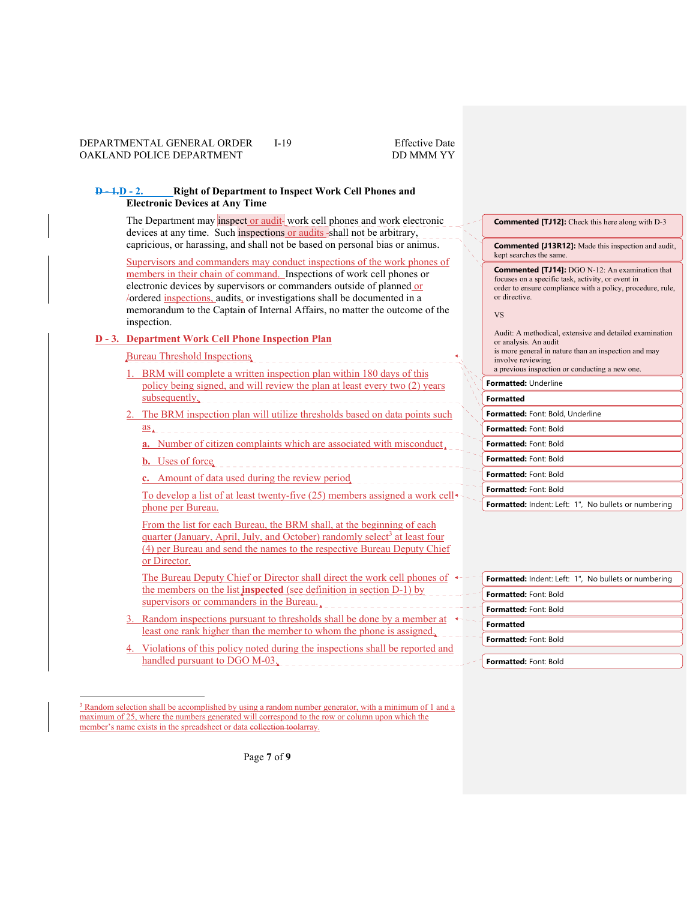#### **D - 1.D - 2. Right of Department to Inspect Work Cell Phones and Electronic Devices at Any Time**

The Department may inspect or audit-work cell phones and work electronic devices at any time. Such inspections or audits shall not be arbitrary, capricious, or harassing, and shall not be based on personal bias or animus.

Supervisors and commanders may conduct inspections of the work phones of members in their chain of command. Inspections of work cell phones or electronic devices by supervisors or commanders outside of planned or /ordered inspections, audits, or investigations shall be documented in a memorandum to the Captain of Internal Affairs, no matter the outcome of the inspection.

### **D - 3. Department Work Cell Phone Inspection Plan**

# Bureau Threshold Inspections

- 1. BRM will complete a written inspection plan within 180 days of this policy being signed, and will review the plan at least every two (2) years <u>subsequently.</u>
- 2. The BRM inspection plan will utilize thresholds based on data points such as
	- **a.** Number of citizen complaints which are associated with misconduct.
	- **b.** Uses of force
	- **c.** Amount of data used during the review period

To develop a list of at least twenty-five (25) members assigned a work cell phone per Bureau.

From the list for each Bureau, the BRM shall, at the beginning of each quarter (January, April, July, and October) randomly select<sup>3</sup> at least four (4) per Bureau and send the names to the respective Bureau Deputy Chief or Director.

The Bureau Deputy Chief or Director shall direct the work cell phones of  $\leftarrow$ the members on the list **inspected** (see definition in section D-1) by supervisors or commanders in the Bureau.

- 3. Random inspections pursuant to thresholds shall be done by a member at  $\leftarrow$  least one rank higher than the member to whom the phone is assigned.
- Violations of this policy noted during the inspections shall be reported and handled pursuant to DGO M-03.

**Commented [TJ12]:** Check this here along with D-3

**Commented [J13R12]:** Made this inspection and audit, kept searches the same.

**Commented [TJ14]:** DGO N-12: An examination that focuses on a specific task, activity, or event in order to ensure compliance with a policy, procedure, rule, or directive.

VS

Audit: A methodical, extensive and detailed examination or analysis. An audit is more general in nature than an inspection and may involve reviewing a previous inspection or conducting a new one. **Formatted:** Underline **Formatted Formatted:** Font: Bold, Underline **Formatted:** Font: Bold **Formatted:** Font: Bold **Formatted:** Font: Bold **Formatted:** Font: Bold **Formatted:** Font: Bold Formatted: Indent: Left: 1", No bullets or numbering

|                              | <b>Formatted:</b> Indent: Left: 1", No bullets or numbering |
|------------------------------|-------------------------------------------------------------|
| <b>Formatted:</b> Font: Bold |                                                             |
| <b>Formatted:</b> Font: Bold |                                                             |
| Formatted                    |                                                             |
| Formatted: Font: Bold        |                                                             |
|                              |                                                             |
| Formatted: Font: Bold        |                                                             |

<sup>&</sup>lt;sup>3</sup> Random selection shall be accomplished by using a random number generator, with a minimum of 1 and a maximum of 25, where the numbers generated will correspond to the row or column upon which the member's name exists in the spreadsheet or data collection toolarray.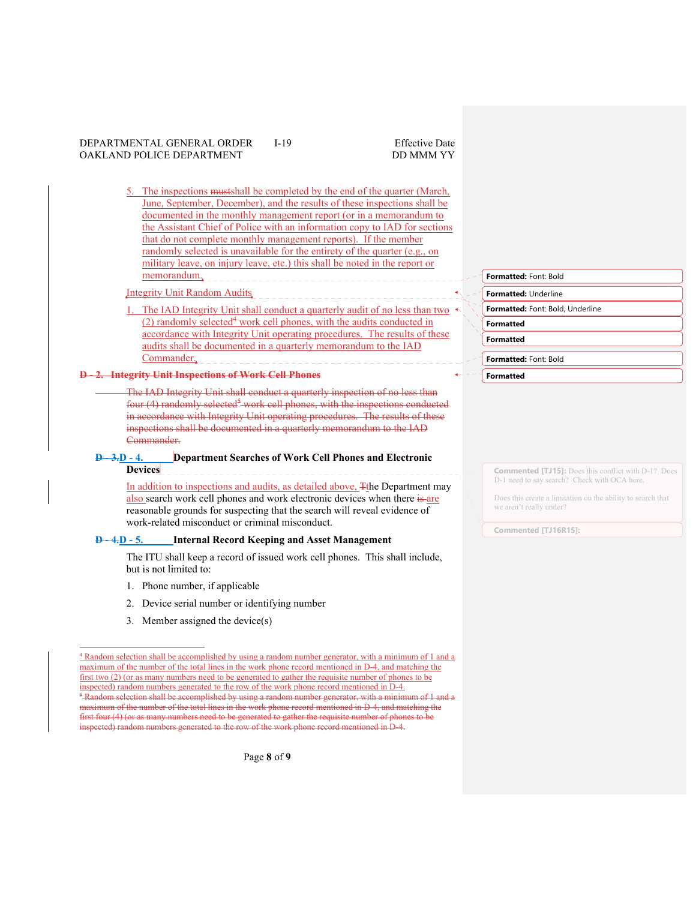The inspections mustshall be completed by the end of the quarter (March, June, September, December), and the results of these inspections shall be documented in the monthly management report (or in a memorandum to the Assistant Chief of Police with an information copy to IAD for sections that do not complete monthly management reports). If the member randomly selected is unavailable for the entirety of the quarter (e.g., on military leave, on injury leave, etc.) this shall be noted in the report or memorandum.

Integrity Unit Random Audits

The IAD Integrity Unit shall conduct a quarterly audit of no less than two (2) randomly selected<sup>4</sup> work cell phones, with the audits conducted in accordance with Integrity Unit operating procedures. The results of these audits shall be documented in a quarterly memorandum to the IAD Commander.

The IAD Integrity Unit shall conduct a quarterly inspection of no less than four (4) randomly selected<sup>5</sup> work cell phones, with the inspections conducted in accordance with Integrity Unit operating procedures. The results of these inspections shall be documented in a quarterly memorandum to the IAD Commander.

#### **D - 3.D - 4. Department Searches of Work Cell Phones and Electronic Devices**

In addition to inspections and audits, as detailed above,  $\mp$ the Department may also search work cell phones and work electronic devices when there is are reasonable grounds for suspecting that the search will reveal evidence of work-related misconduct or criminal misconduct.

# **D - 4.D - 5. Internal Record Keeping and Asset Management**

The ITU shall keep a record of issued work cell phones. This shall include, but is not limited to:

- 1. Phone number, if applicable
- 2. Device serial number or identifying number
- 3. Member assigned the device(s)

Page **8** of **9**

#### **Formatted:** Font: Bold

**Formatted:** Underline

**Formatted:** Font: Bold, Underline

**Formatted**

**Formatted**

**Formatted:** Font: Bold

**Formatted**

**Commented [TJ15]:** Does this conflict with D-1? Does D-1 need to say search? Check with OCA here.

Does this create a limitation on the ability to search that we aren't really under?

**Commented [TJ16R15]:** 

**<sup>2.</sup> Integrity Unit Inspections of Work Cell Phones** 

<sup>4</sup> Random selection shall be accomplished by using a random number generator, with a minimum of 1 and a maximum of the number of the total lines in the work phone record mentioned in D-4, and matching the first two (2) (or as many numbers need to be generated to gather the requisite number of phones to be inspected) random numbers generated to the row of the work phone record mentioned in D-4. 5 Random selection shall be accomplished by using a random number generator, with a minimum of 1 and a imum of the number of the total lines in the work phone record mentioned in D-4, and matching the first four (4) (or as many numbers need to be generated to gather the requisite number of phones to be  $\frac{1}{\sqrt{1-\frac{1}{\sqrt{1-\frac{1}{\sqrt{1-\frac{1}{\sqrt{1-\frac{1}{\sqrt{1-\frac{1}{\sqrt{1-\frac{1}{\sqrt{1-\frac{1}{\sqrt{1-\frac{1}{\sqrt{1-\frac{1}{\sqrt{1-\frac{1}{\sqrt{1-\frac{1}{\sqrt{1-\frac{1}{\sqrt{1-\frac{1}{\sqrt{1-\frac{1}{\sqrt{1-\frac{1}{\sqrt{1-\frac{1}{\sqrt{1-\frac{1}{\sqrt{1-\frac{1}{\sqrt{1-\frac{1}{\sqrt{1-\frac{1}{\sqrt{1-\frac{1}{\sqrt{1-\frac{1}{\sqrt{1-\frac{1}{\sqrt{1-\frac{1$